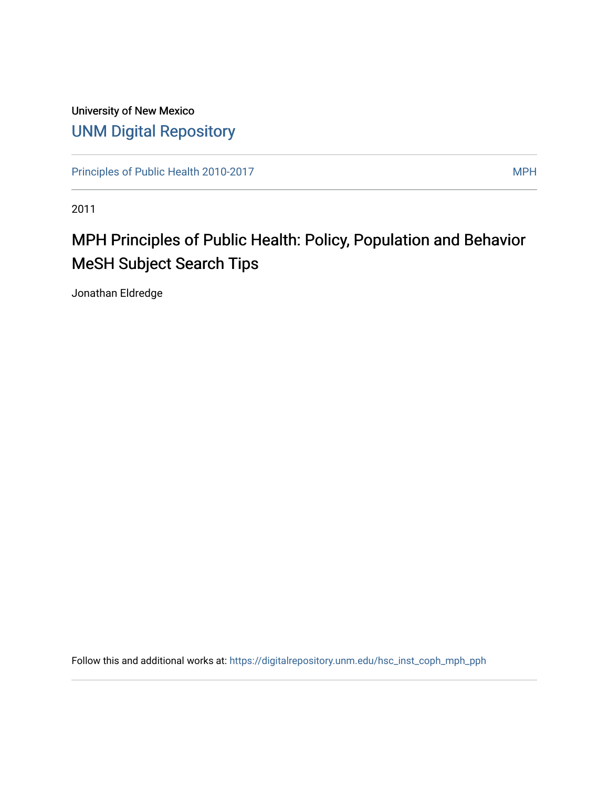### University of New Mexico [UNM Digital Repository](https://digitalrepository.unm.edu/)

[Principles of Public Health 2010-2017](https://digitalrepository.unm.edu/hsc_inst_coph_mph_pph) MPH

2011

# MPH Principles of Public Health: Policy, Population and Behavior MeSH Subject Search Tips

Jonathan Eldredge

Follow this and additional works at: [https://digitalrepository.unm.edu/hsc\\_inst\\_coph\\_mph\\_pph](https://digitalrepository.unm.edu/hsc_inst_coph_mph_pph?utm_source=digitalrepository.unm.edu%2Fhsc_inst_coph_mph_pph%2F13&utm_medium=PDF&utm_campaign=PDFCoverPages)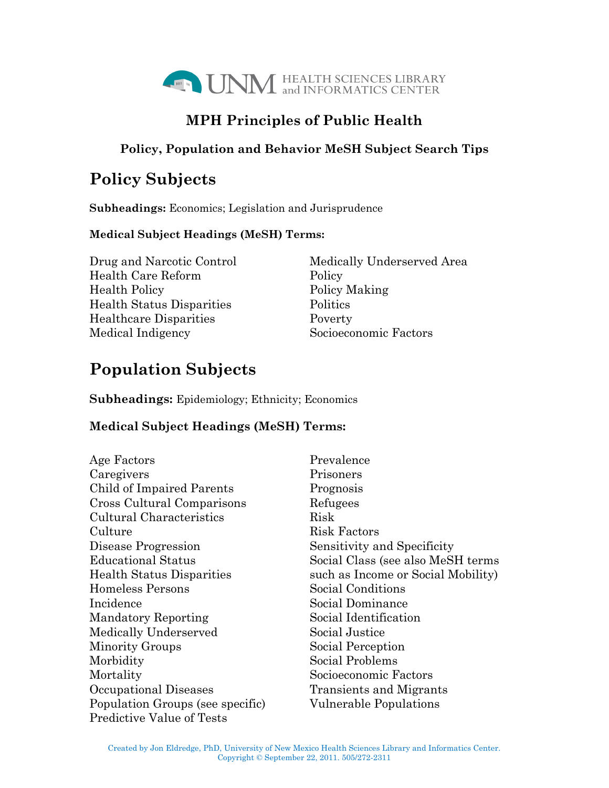

### **MPH Principles of Public Health**

#### **Policy, Population and Behavior MeSH Subject Search Tips**

## **Policy Subjects**

**Subheadings:** Economics; Legislation and Jurisprudence

#### **Medical Subject Headings (MeSH) Terms:**

Drug and Narcotic Control Medically Underserved Area Health Care Reform Policy Health Policy Policy Making Health Status Disparities Politics Healthcare Disparities Poverty Medical Indigency Socioeconomic Factors

# **Population Subjects**

**Subheadings:** Epidemiology; Ethnicity; Economics

#### **Medical Subject Headings (MeSH) Terms:**

| Age Factors                      | Prevalence                         |
|----------------------------------|------------------------------------|
| Caregivers                       | Prisoners                          |
| Child of Impaired Parents        | Prognosis                          |
| Cross Cultural Comparisons       | Refugees                           |
| Cultural Characteristics         | Risk                               |
| Culture                          | <b>Risk Factors</b>                |
| Disease Progression              | Sensitivity and Specificity        |
| <b>Educational Status</b>        | Social Class (see also MeSH terms  |
| <b>Health Status Disparities</b> | such as Income or Social Mobility) |
| Homeless Persons                 | Social Conditions                  |
| Incidence                        | Social Dominance                   |
| <b>Mandatory Reporting</b>       | Social Identification              |
| Medically Underserved            | Social Justice                     |
| <b>Minority Groups</b>           | Social Perception                  |
| Morbidity                        | Social Problems                    |
| Mortality                        | Socioeconomic Factors              |
| Occupational Diseases            | Transients and Migrants            |
| Population Groups (see specific) | Vulnerable Populations             |
| <b>Predictive Value of Tests</b> |                                    |